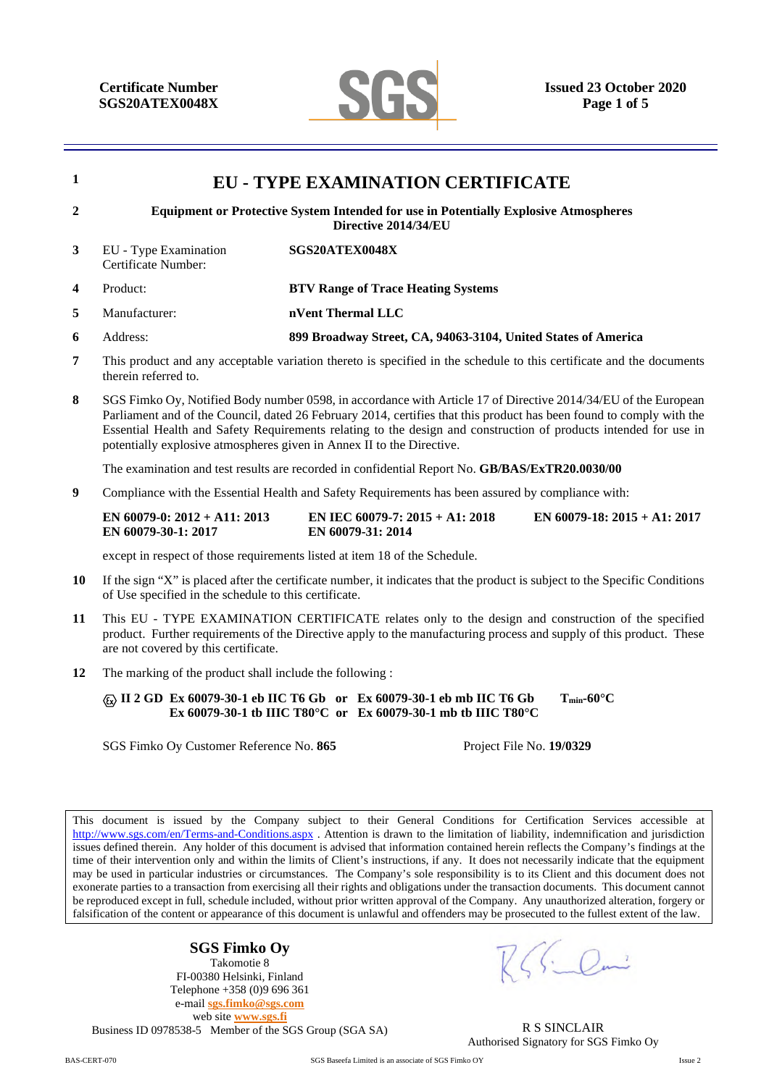

| $\mathbf{1}$                                                                                           | <b>EU - TYPE EXAMINATION CERTIFICATE</b>                                                                                                                                                                                                                                                                                                                                                                                            |                                                                                                       |                                |  |  |
|--------------------------------------------------------------------------------------------------------|-------------------------------------------------------------------------------------------------------------------------------------------------------------------------------------------------------------------------------------------------------------------------------------------------------------------------------------------------------------------------------------------------------------------------------------|-------------------------------------------------------------------------------------------------------|--------------------------------|--|--|
| $\overline{2}$                                                                                         | <b>Equipment or Protective System Intended for use in Potentially Explosive Atmospheres</b><br>Directive 2014/34/EU                                                                                                                                                                                                                                                                                                                 |                                                                                                       |                                |  |  |
| 3                                                                                                      | EU - Type Examination<br>Certificate Number:                                                                                                                                                                                                                                                                                                                                                                                        | SGS20ATEX0048X                                                                                        |                                |  |  |
| $\overline{\mathbf{4}}$                                                                                | Product:                                                                                                                                                                                                                                                                                                                                                                                                                            | <b>BTV Range of Trace Heating Systems</b>                                                             |                                |  |  |
| 5                                                                                                      | Manufacturer:                                                                                                                                                                                                                                                                                                                                                                                                                       | nVent Thermal LLC                                                                                     |                                |  |  |
| 6                                                                                                      | Address:                                                                                                                                                                                                                                                                                                                                                                                                                            | 899 Broadway Street, CA, 94063-3104, United States of America                                         |                                |  |  |
| 7                                                                                                      | This product and any acceptable variation thereto is specified in the schedule to this certificate and the documents<br>therein referred to.                                                                                                                                                                                                                                                                                        |                                                                                                       |                                |  |  |
| 8                                                                                                      | SGS Fimko Oy, Notified Body number 0598, in accordance with Article 17 of Directive 2014/34/EU of the European<br>Parliament and of the Council, dated 26 February 2014, certifies that this product has been found to comply with the<br>Essential Health and Safety Requirements relating to the design and construction of products intended for use in<br>potentially explosive atmospheres given in Annex II to the Directive. |                                                                                                       |                                |  |  |
|                                                                                                        |                                                                                                                                                                                                                                                                                                                                                                                                                                     | The examination and test results are recorded in confidential Report No. <b>GB/BAS/ExTR20.0030/00</b> |                                |  |  |
| 9<br>Compliance with the Essential Health and Safety Requirements has been assured by compliance with: |                                                                                                                                                                                                                                                                                                                                                                                                                                     |                                                                                                       |                                |  |  |
|                                                                                                        | EN 60079-0: $2012 + A11$ : 2013<br>EN 60079-30-1: 2017                                                                                                                                                                                                                                                                                                                                                                              | EN IEC 60079-7: $2015 + A1: 2018$<br>EN 60079-31: 2014                                                | EN 60079-18: $2015 + A1: 2017$ |  |  |
|                                                                                                        |                                                                                                                                                                                                                                                                                                                                                                                                                                     | except in respect of those requirements listed at item 18 of the Schedule.                            |                                |  |  |
| 10                                                                                                     | If the sign "X" is placed after the certificate number, it indicates that the product is subject to the Specific Conditions<br>of Use specified in the schedule to this certificate.                                                                                                                                                                                                                                                |                                                                                                       |                                |  |  |
| 11                                                                                                     | This EU - TYPE EXAMINATION CERTIFICATE relates only to the design and construction of the specified<br>product. Further requirements of the Directive apply to the manufacturing process and supply of this product. These                                                                                                                                                                                                          |                                                                                                       |                                |  |  |

**12** The marking of the product shall include the following :

are not covered by this certificate.

 **II 2 GD Ex 60079-30-1 eb IIC T6 Gb or Ex 60079-30-1 eb mb IIC T6 Gb Tmin-60°C Ex 60079-30-1 tb IIIC T80°C or Ex 60079-30-1 mb tb IIIC T80°C** 

SGS Fimko Oy Customer Reference No. **865** Project File No. **19/0329** 

This document is issued by the Company subject to their General Conditions for Certification Services accessible at http://www.sgs.com/en/Terms-and-Conditions.aspx . Attention is drawn to the limitation of liability, indemnification and jurisdiction issues defined therein. Any holder of this document is advised that information contained herein reflects the Company's findings at the time of their intervention only and within the limits of Client's instructions, if any. It does not necessarily indicate that the equipment may be used in particular industries or circumstances. The Company's sole responsibility is to its Client and this document does not exonerate parties to a transaction from exercising all their rights and obligations under the transaction documents. This document cannot be reproduced except in full, schedule included, without prior written approval of the Company. Any unauthorized alteration, forgery or falsification of the content or appearance of this document is unlawful and offenders may be prosecuted to the fullest extent of the law.

> **SGS Fimko Oy**  Takomotie 8 FI-00380 Helsinki, Finland Telephone +358 (0)9 696 361 e-mail **sgs.fimko@sgs.com** web site **www.sgs.fi**

Business ID 0978538-5 Member of the SGS Group (SGA SA) R S SINCLAIR

Authorised Signatory for SGS Fimko Oy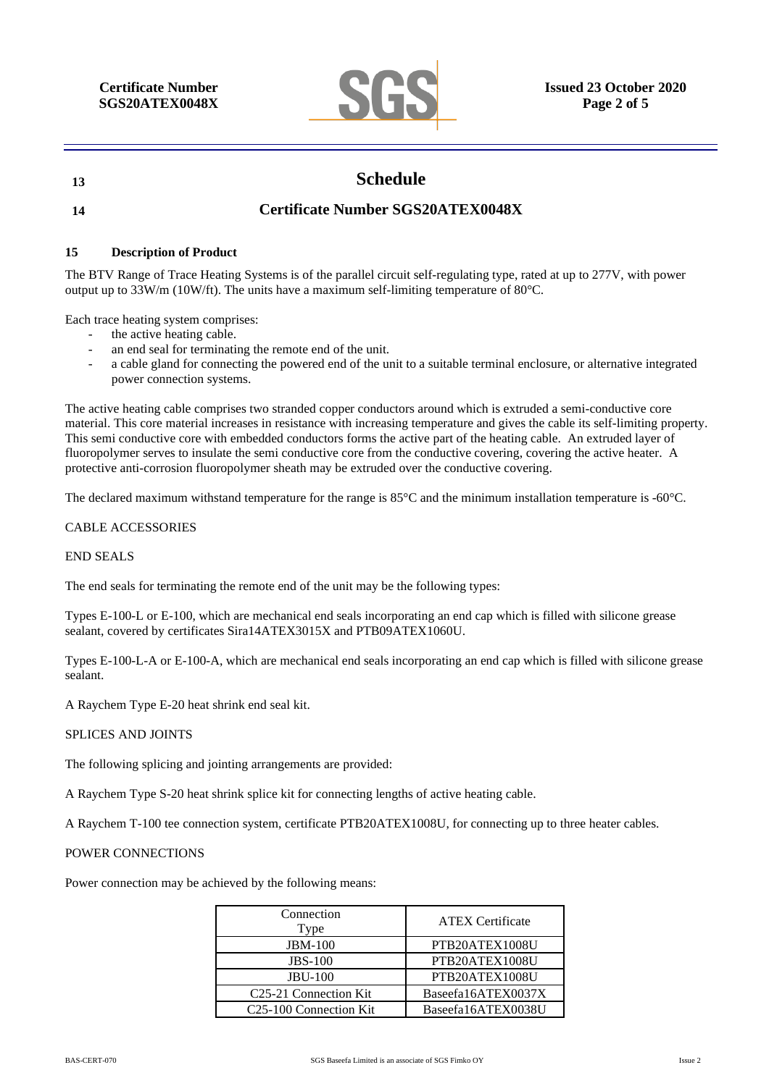

# **13 Schedule**

# **14 Certificate Number SGS20ATEX0048X**

## **15 Description of Product**

The BTV Range of Trace Heating Systems is of the parallel circuit self-regulating type, rated at up to 277V, with power output up to 33W/m (10W/ft). The units have a maximum self-limiting temperature of 80°C.

Each trace heating system comprises:

- the active heating cable.
- an end seal for terminating the remote end of the unit.
- a cable gland for connecting the powered end of the unit to a suitable terminal enclosure, or alternative integrated power connection systems.

The active heating cable comprises two stranded copper conductors around which is extruded a semi-conductive core material. This core material increases in resistance with increasing temperature and gives the cable its self-limiting property. This semi conductive core with embedded conductors forms the active part of the heating cable. An extruded layer of fluoropolymer serves to insulate the semi conductive core from the conductive covering, covering the active heater. A protective anti-corrosion fluoropolymer sheath may be extruded over the conductive covering.

The declared maximum withstand temperature for the range is 85°C and the minimum installation temperature is -60°C.

### CABLE ACCESSORIES

### END SEALS

The end seals for terminating the remote end of the unit may be the following types:

Types E-100-L or E-100, which are mechanical end seals incorporating an end cap which is filled with silicone grease sealant, covered by certificates Sira14ATEX3015X and PTB09ATEX1060U.

Types E-100-L-A or E-100-A, which are mechanical end seals incorporating an end cap which is filled with silicone grease sealant.

A Raychem Type E-20 heat shrink end seal kit.

### SPLICES AND JOINTS

The following splicing and jointing arrangements are provided:

A Raychem Type S-20 heat shrink splice kit for connecting lengths of active heating cable.

A Raychem T-100 tee connection system, certificate PTB20ATEX1008U, for connecting up to three heater cables.

### POWER CONNECTIONS

Power connection may be achieved by the following means:

| Connection<br>Type                  | <b>ATEX Certificate</b> |
|-------------------------------------|-------------------------|
| <b>JBM-100</b>                      | PTB20ATEX1008U          |
| $JBS-100$                           | PTB20ATEX1008U          |
| <b>JBU-100</b>                      | PTB20ATEX1008U          |
| C <sub>25</sub> -21 Connection Kit  | Baseefa16ATEX0037X      |
| C <sub>25</sub> -100 Connection Kit | Baseefa16ATEX0038U      |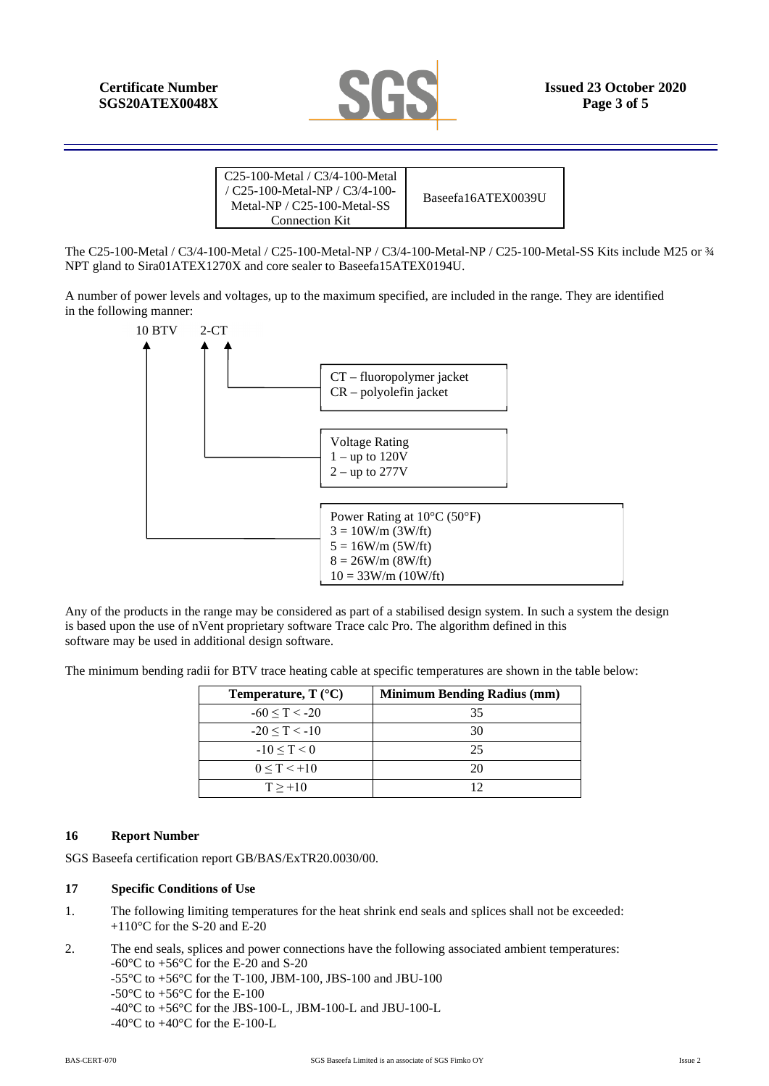

| $C25-100$ -Metal / C3/4-100-Metal<br>/ $C25-100$ -Metal-NP / $C3/4-100$ -<br>Metal-NP / $C25-100$ -Metal-SS<br><b>Connection Kit</b> | Baseefa16ATEX0039U |
|--------------------------------------------------------------------------------------------------------------------------------------|--------------------|
|--------------------------------------------------------------------------------------------------------------------------------------|--------------------|

The C25-100-Metal / C3/4-100-Metal / C25-100-Metal-NP / C3/4-100-Metal-NP / C25-100-Metal-SS Kits include M25 or ¾ NPT gland to Sira01ATEX1270X and core sealer to Baseefa15ATEX0194U.

A number of power levels and voltages, up to the maximum specified, are included in the range. They are identified in the following manner:



Any of the products in the range may be considered as part of a stabilised design system. In such a system the design is based upon the use of nVent proprietary software Trace calc Pro. The algorithm defined in this software may be used in additional design software.

The minimum bending radii for BTV trace heating cable at specific temperatures are shown in the table below:

| Temperature, $T$ ( $^{\circ}$ C) | <b>Minimum Bending Radius (mm)</b> |
|----------------------------------|------------------------------------|
| $-60 \le T \le -20$              | 35                                 |
| $-20 < T < -10$                  | 30                                 |
| $-10 < T < 0$                    | 25                                 |
| $0 < T < +10$                    | 20                                 |
| $T > +10$                        | 12                                 |

### **16 Report Number**

SGS Baseefa certification report GB/BAS/ExTR20.0030/00.

### **17 Specific Conditions of Use**

- 1. The following limiting temperatures for the heat shrink end seals and splices shall not be exceeded:  $+110^{\circ}$ C for the S-20 and E-20
- 2. The end seals, splices and power connections have the following associated ambient temperatures: -60 $^{\circ}$ C to +56 $^{\circ}$ C for the E-20 and S-20 -55°C to +56°C for the T-100, JBM-100, JBS-100 and JBU-100 -50 $^{\circ}$ C to +56 $^{\circ}$ C for the E-100 -40°C to +56°C for the JBS-100-L, JBM-100-L and JBU-100-L -40 $^{\circ}$ C to +40 $^{\circ}$ C for the E-100-L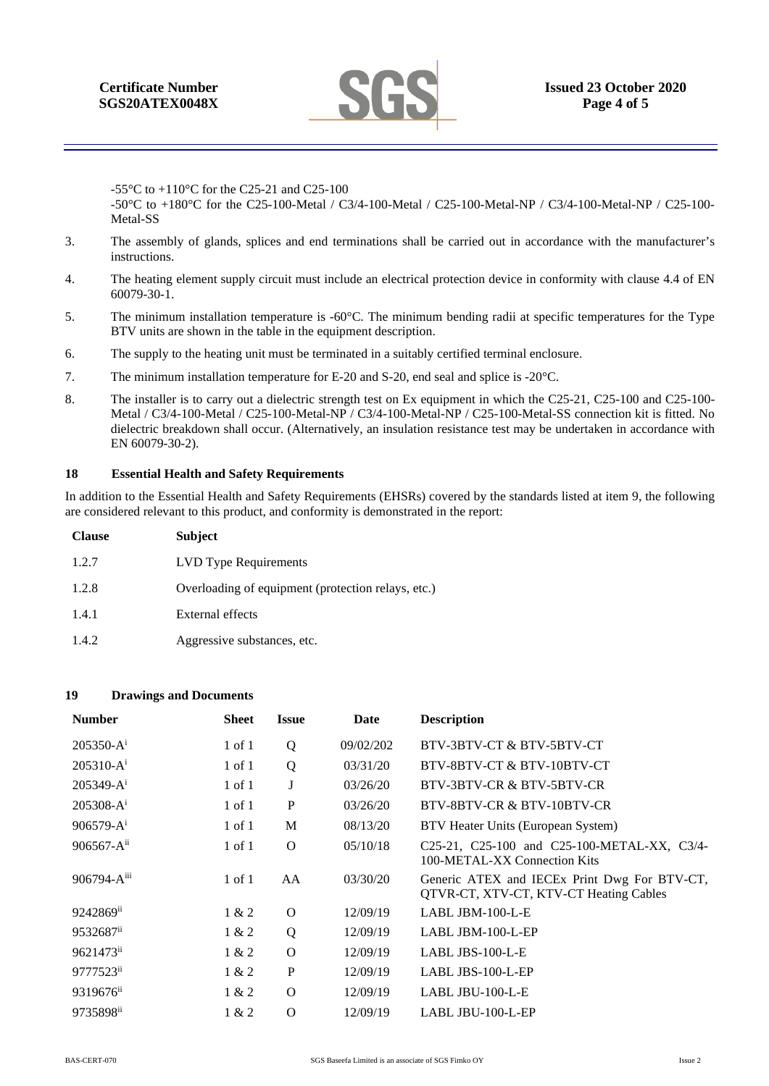**Certificate Number SGS20ATEX0048X**

-55 $^{\circ}$ C to +110 $^{\circ}$ C for the C25-21 and C25-100

-50°C to +180°C for the C25-100-Metal / C3/4-100-Metal / C25-100-Metal-NP / C3/4-100-Metal-NP / C25-100- Metal-SS

- 3. The assembly of glands, splices and end terminations shall be carried out in accordance with the manufacturer's instructions.
- 4. The heating element supply circuit must include an electrical protection device in conformity with clause 4.4 of EN 60079-30-1.
- 5. The minimum installation temperature is -60°C. The minimum bending radii at specific temperatures for the Type BTV units are shown in the table in the equipment description.
- 6. The supply to the heating unit must be terminated in a suitably certified terminal enclosure.
- 7. The minimum installation temperature for E-20 and S-20, end seal and splice is  $-20^{\circ}$ C.
- 8. The installer is to carry out a dielectric strength test on Ex equipment in which the C25-21, C25-100 and C25-100- Metal / C3/4-100-Metal / C25-100-Metal-NP / C3/4-100-Metal-NP / C25-100-Metal-SS connection kit is fitted. No dielectric breakdown shall occur. (Alternatively, an insulation resistance test may be undertaken in accordance with EN 60079-30-2).

### **18 Essential Health and Safety Requirements**

In addition to the Essential Health and Safety Requirements (EHSRs) covered by the standards listed at item 9, the following are considered relevant to this product, and conformity is demonstrated in the report:

| <b>Clause</b> | <b>Subject</b>                                     |
|---------------|----------------------------------------------------|
| 1.2.7         | LVD Type Requirements                              |
| 1.2.8         | Overloading of equipment (protection relays, etc.) |
| 1.4.1         | <b>External effects</b>                            |
| 1.4.2         | Aggressive substances, etc.                        |

### **19 Drawings and Documents**

| <b>Number</b>           | <b>Sheet</b> | <b>Issue</b> | Date      | <b>Description</b>                                                                     |
|-------------------------|--------------|--------------|-----------|----------------------------------------------------------------------------------------|
| $205350-A$ <sup>1</sup> | 1 of 1       | Q            | 09/02/202 | BTV-3BTV-CT & BTV-5BTV-CT                                                              |
| $205310-Ai$             | 1 of 1       | Q            | 03/31/20  | BTV-8BTV-CT & BTV-10BTV-CT                                                             |
| $205349 - A^1$          | $1$ of $1$   | J            | 03/26/20  | BTV-3BTV-CR & BTV-5BTV-CR                                                              |
| $205308-Ai$             | $1$ of $1$   | P            | 03/26/20  | BTV-8BTV-CR & BTV-10BTV-CR                                                             |
| $906579 - A^1$          | $1$ of $1$   | M            | 08/13/20  | BTV Heater Units (European System)                                                     |
| $906567 - A^{ii}$       | $1$ of $1$   | $\Omega$     | 05/10/18  | C25-21, C25-100 and C25-100-METAL-XX, C3/4-<br>100-METAL-XX Connection Kits            |
| 906794-Aiii             | 1 of 1       | AA           | 03/30/20  | Generic ATEX and IECEx Print Dwg For BTV-CT,<br>QTVR-CT, XTV-CT, KTV-CT Heating Cables |
| 9242869 <sup>ii</sup>   | 1 & 2        | $\Omega$     | 12/09/19  | $LABL$ JBM-100-L-E                                                                     |
| 9532687 <sup>ii</sup>   | 1 & 2        | Q            | 12/09/19  | LABL JBM-100-L-EP                                                                      |
| 9621473 <sup>ii</sup>   | 1 & 2        | $\Omega$     | 12/09/19  | LABL JBS-100-L-E                                                                       |
| 9777523 <sup>ii</sup>   | 1 & 2        | $\mathbf{P}$ | 12/09/19  | LABL JBS-100-L-EP                                                                      |
| 9319676 <sup>ii</sup>   | 1 & 2        | $\Omega$     | 12/09/19  | LABL JBU-100-L-E                                                                       |
| 9735898ii               | 1 & 2        | $\Omega$     | 12/09/19  | LABL JBU-100-L-EP                                                                      |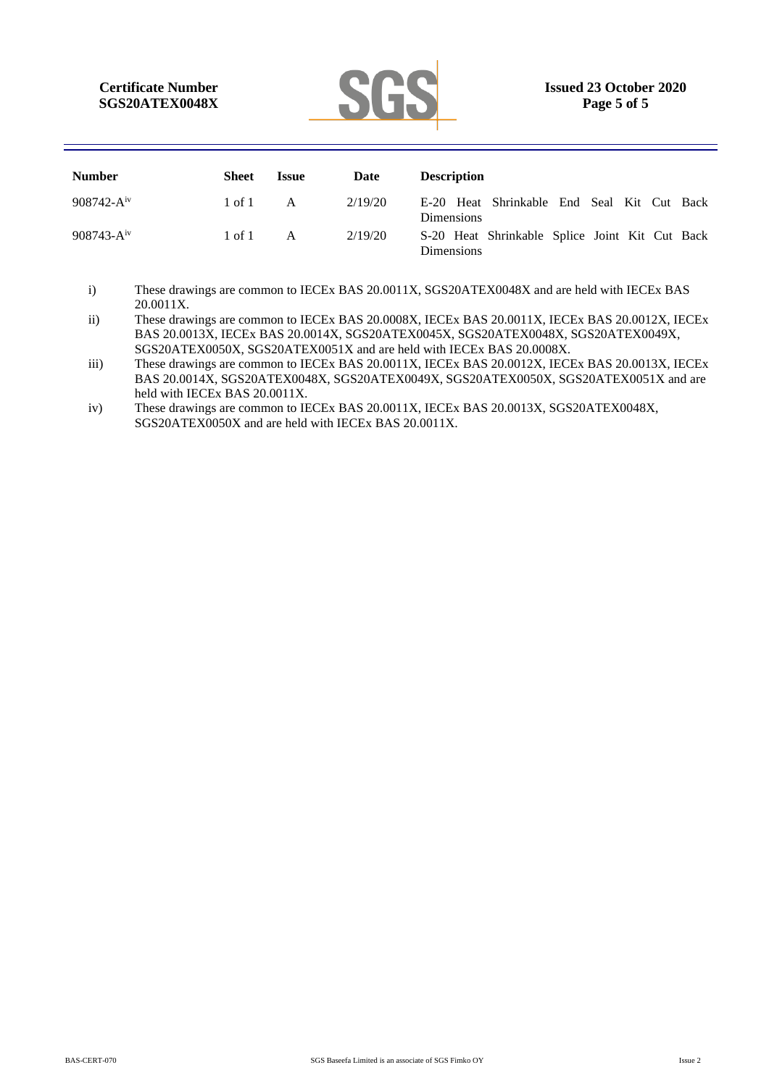

| <b>Number</b>         | <b>Sheet</b> | <i><b>Issue</b></i> | Date    | <b>Description</b>                                           |
|-----------------------|--------------|---------------------|---------|--------------------------------------------------------------|
| $908742 - A1V$        | 1 of 1       | A                   | 2/19/20 | E-20 Heat Shrinkable End Seal Kit Cut Back<br>Dimensions     |
| $908743 - A^{\rm iv}$ | 1 of 1       | A                   | 2/19/20 | S-20 Heat Shrinkable Splice Joint Kit Cut Back<br>Dimensions |

i) These drawings are common to IECEx BAS 20.0011X, SGS20ATEX0048X and are held with IECEx BAS 20.0011X.

ii) These drawings are common to IECEx BAS 20.0008X, IECEx BAS 20.0011X, IECEx BAS 20.0012X, IECEx BAS 20.0013X, IECEx BAS 20.0014X, SGS20ATEX0045X, SGS20ATEX0048X, SGS20ATEX0049X, SGS20ATEX0050X, SGS20ATEX0051X and are held with IECEx BAS 20.0008X.

- iii) These drawings are common to IECEx BAS 20.0011X, IECEx BAS 20.0012X, IECEx BAS 20.0013X, IECEx BAS 20.0014X, SGS20ATEX0048X, SGS20ATEX0049X, SGS20ATEX0050X, SGS20ATEX0051X and are held with IECEx BAS 20.0011X.
- iv) These drawings are common to IECEx BAS 20.0011X, IECEx BAS 20.0013X, SGS20ATEX0048X, SGS20ATEX0050X and are held with IECEx BAS 20.0011X.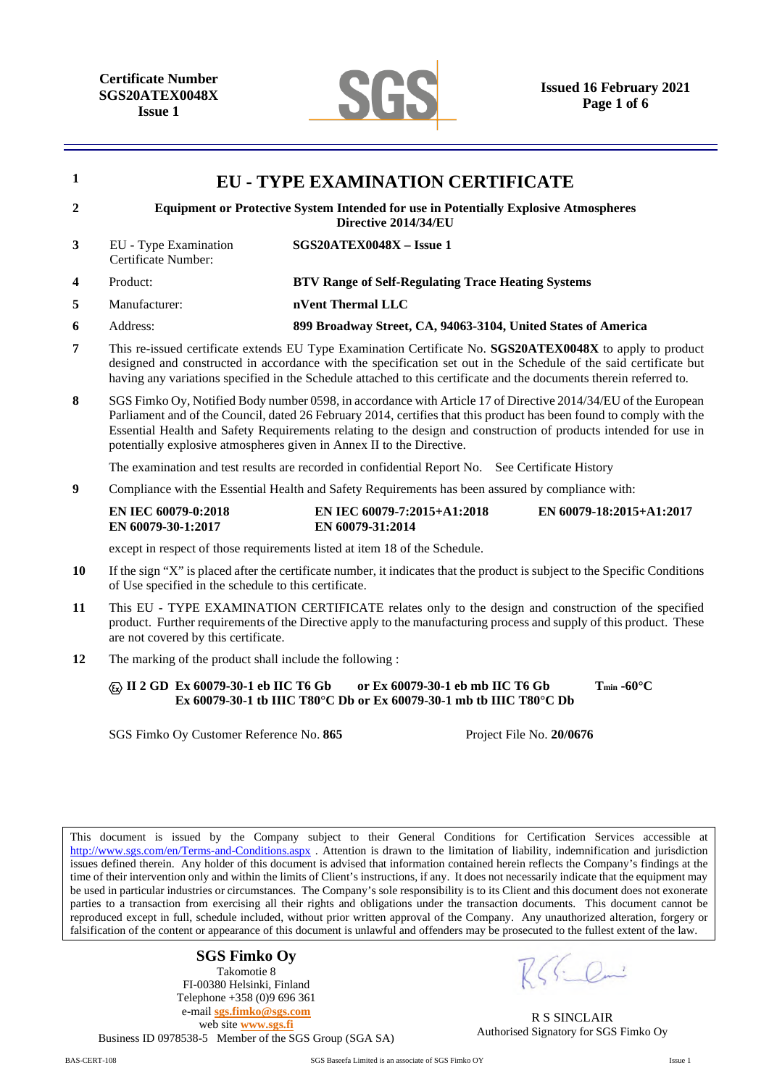**Certificate Number SGS20ATEX0048X Issue 1**



| $\mathbf{1}$                                                                                           | EU - TYPE EXAMINATION CERTIFICATE                                                                                                                                                                                                                                                                                                                                                                                                   |                                                                                                  |                          |  |  |
|--------------------------------------------------------------------------------------------------------|-------------------------------------------------------------------------------------------------------------------------------------------------------------------------------------------------------------------------------------------------------------------------------------------------------------------------------------------------------------------------------------------------------------------------------------|--------------------------------------------------------------------------------------------------|--------------------------|--|--|
| $\mathbf{2}$                                                                                           | <b>Equipment or Protective System Intended for use in Potentially Explosive Atmospheres</b><br>Directive 2014/34/EU                                                                                                                                                                                                                                                                                                                 |                                                                                                  |                          |  |  |
| 3                                                                                                      | EU - Type Examination<br>Certificate Number:                                                                                                                                                                                                                                                                                                                                                                                        | $SGS20ATEX0048X - Issue 1$                                                                       |                          |  |  |
| $\overline{\mathbf{4}}$                                                                                | Product:                                                                                                                                                                                                                                                                                                                                                                                                                            | <b>BTV Range of Self-Regulating Trace Heating Systems</b>                                        |                          |  |  |
| 5                                                                                                      | Manufacturer:                                                                                                                                                                                                                                                                                                                                                                                                                       | nVent Thermal LLC                                                                                |                          |  |  |
| 6                                                                                                      | Address:                                                                                                                                                                                                                                                                                                                                                                                                                            | 899 Broadway Street, CA, 94063-3104, United States of America                                    |                          |  |  |
| 7                                                                                                      | This re-issued certificate extends EU Type Examination Certificate No. SGS20ATEX0048X to apply to product<br>designed and constructed in accordance with the specification set out in the Schedule of the said certificate but<br>having any variations specified in the Schedule attached to this certificate and the documents therein referred to.                                                                               |                                                                                                  |                          |  |  |
| 8                                                                                                      | SGS Fimko Oy, Notified Body number 0598, in accordance with Article 17 of Directive 2014/34/EU of the European<br>Parliament and of the Council, dated 26 February 2014, certifies that this product has been found to comply with the<br>Essential Health and Safety Requirements relating to the design and construction of products intended for use in<br>potentially explosive atmospheres given in Annex II to the Directive. |                                                                                                  |                          |  |  |
|                                                                                                        |                                                                                                                                                                                                                                                                                                                                                                                                                                     | The examination and test results are recorded in confidential Report No. See Certificate History |                          |  |  |
| 9<br>Compliance with the Essential Health and Safety Requirements has been assured by compliance with: |                                                                                                                                                                                                                                                                                                                                                                                                                                     |                                                                                                  |                          |  |  |
|                                                                                                        | <b>EN IEC 60079-0:2018</b><br>EN 60079-30-1:2017                                                                                                                                                                                                                                                                                                                                                                                    | EN IEC 60079-7:2015+A1:2018<br>EN 60079-31:2014                                                  | EN 60079-18:2015+A1:2017 |  |  |
|                                                                                                        |                                                                                                                                                                                                                                                                                                                                                                                                                                     | except in respect of those requirements listed at item 18 of the Schedule.                       |                          |  |  |
| 10                                                                                                     | If the sign "X" is placed after the certificate number, it indicates that the product is subject to the Specific Conditions<br>of Use specified in the schedule to this certificate.                                                                                                                                                                                                                                                |                                                                                                  |                          |  |  |
| 11                                                                                                     | This EU - TYPE EXAMINATION CERTIFICATE relates only to the design and construction of the specified<br>product. Further requirements of the Directive apply to the manufacturing process and supply of this product. These<br>are not covered by this certificate.                                                                                                                                                                  |                                                                                                  |                          |  |  |

**12** The marking of the product shall include the following :

 **II 2 GD Ex 60079-30-1 eb IIC T6 Gb or Ex 60079-30-1 eb mb IIC T6 Gb Tmin -60°C Ex 60079-30-1 tb IIIC T80°C Db or Ex 60079-30-1 mb tb IIIC T80°C Db** 

SGS Fimko Oy Customer Reference No. **865** Project File No. **20/0676** 

This document is issued by the Company subject to their General Conditions for Certification Services accessible at http://www.sgs.com/en/Terms-and-Conditions.aspx . Attention is drawn to the limitation of liability, indemnification and jurisdiction issues defined therein. Any holder of this document is advised that information contained herein reflects the Company's findings at the time of their intervention only and within the limits of Client's instructions, if any. It does not necessarily indicate that the equipment may be used in particular industries or circumstances. The Company's sole responsibility is to its Client and this document does not exonerate parties to a transaction from exercising all their rights and obligations under the transaction documents. This document cannot be reproduced except in full, schedule included, without prior written approval of the Company. Any unauthorized alteration, forgery or falsification of the content or appearance of this document is unlawful and offenders may be prosecuted to the fullest extent of the law.

### **SGS Fimko Oy**

Takomotie 8 FI-00380 Helsinki, Finland Telephone +358 (0)9 696 361 e-mail **sgs.fimko@sgs.com** web site **www.sgs.fi** Business ID 0978538-5 Member of the SGS Group (SGA SA)

R S SINCLAIR Authorised Signatory for SGS Fimko Oy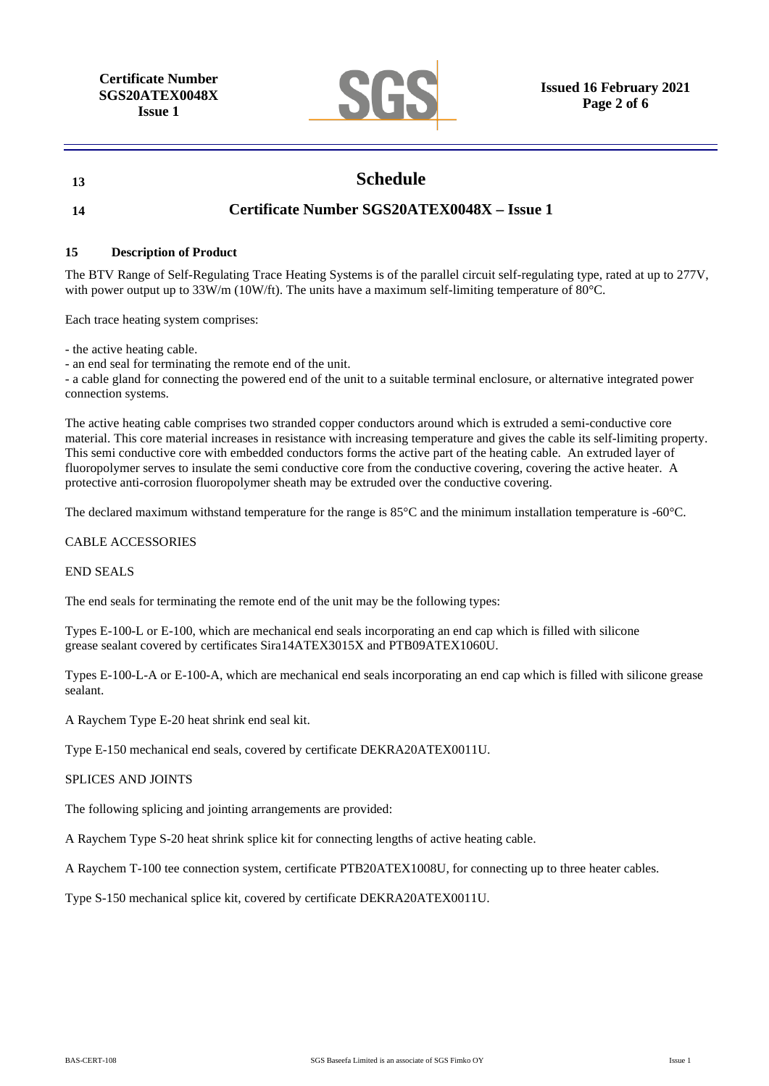

# **13 Schedule**

# **14 Certificate Number SGS20ATEX0048X – Issue 1**

### **15 Description of Product**

The BTV Range of Self-Regulating Trace Heating Systems is of the parallel circuit self-regulating type, rated at up to 277V, with power output up to 33W/m (10W/ft). The units have a maximum self-limiting temperature of 80°C.

Each trace heating system comprises:

- the active heating cable.

- an end seal for terminating the remote end of the unit.

- a cable gland for connecting the powered end of the unit to a suitable terminal enclosure, or alternative integrated power connection systems.

The active heating cable comprises two stranded copper conductors around which is extruded a semi-conductive core material. This core material increases in resistance with increasing temperature and gives the cable its self-limiting property. This semi conductive core with embedded conductors forms the active part of the heating cable. An extruded layer of fluoropolymer serves to insulate the semi conductive core from the conductive covering, covering the active heater. A protective anti-corrosion fluoropolymer sheath may be extruded over the conductive covering.

The declared maximum withstand temperature for the range is 85°C and the minimum installation temperature is -60°C.

### CABLE ACCESSORIES

END SEALS

The end seals for terminating the remote end of the unit may be the following types:

Types E-100-L or E-100, which are mechanical end seals incorporating an end cap which is filled with silicone grease sealant covered by certificates Sira14ATEX3015X and PTB09ATEX1060U.

Types E-100-L-A or E-100-A, which are mechanical end seals incorporating an end cap which is filled with silicone grease sealant.

A Raychem Type E-20 heat shrink end seal kit.

Type E-150 mechanical end seals, covered by certificate DEKRA20ATEX0011U.

### SPLICES AND JOINTS

The following splicing and jointing arrangements are provided:

A Raychem Type S-20 heat shrink splice kit for connecting lengths of active heating cable.

A Raychem T-100 tee connection system, certificate PTB20ATEX1008U, for connecting up to three heater cables.

Type S-150 mechanical splice kit, covered by certificate DEKRA20ATEX0011U.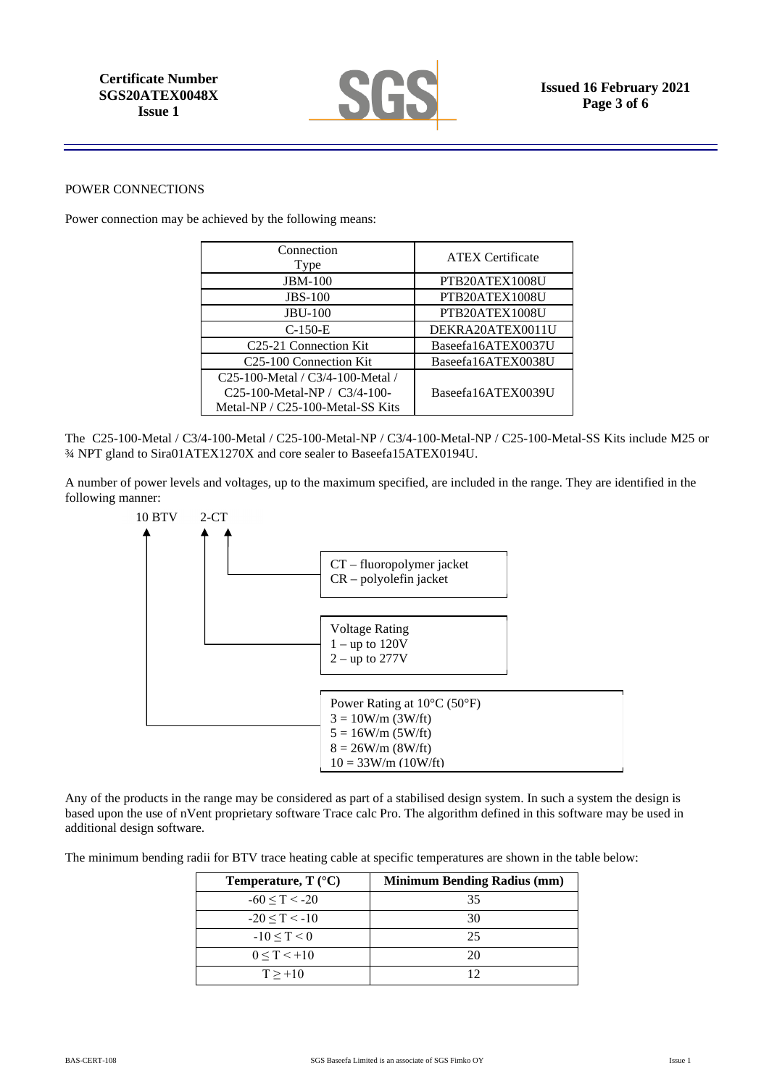**Certificate Number SGS20ATEX0048X Issue 1**



### POWER CONNECTIONS

Power connection may be achieved by the following means:

| Connection<br>Type                  | <b>ATEX Certificate</b> |
|-------------------------------------|-------------------------|
| <b>JBM-100</b>                      | PTB20ATEX1008U          |
| $JBS-100$                           | PTB20ATEX1008U          |
| <b>JBU-100</b>                      | PTB20ATEX1008U          |
| $C-150-E$                           | DEKRA20ATEX0011U        |
| C <sub>25</sub> -21 Connection Kit  | Baseefa16ATEX0037U      |
| C <sub>25</sub> -100 Connection Kit | Baseefa16ATEX0038U      |
| C25-100-Metal / C3/4-100-Metal /    |                         |
| C25-100-Metal-NP / C3/4-100-        | Baseefa16ATEX0039U      |
| Metal-NP / C25-100-Metal-SS Kits    |                         |

The C25-100-Metal / C3/4-100-Metal / C25-100-Metal-NP / C3/4-100-Metal-NP / C25-100-Metal-SS Kits include M25 or ¾ NPT gland to Sira01ATEX1270X and core sealer to Baseefa15ATEX0194U.

A number of power levels and voltages, up to the maximum specified, are included in the range. They are identified in the following manner:



Any of the products in the range may be considered as part of a stabilised design system. In such a system the design is based upon the use of nVent proprietary software Trace calc Pro. The algorithm defined in this software may be used in additional design software.

The minimum bending radii for BTV trace heating cable at specific temperatures are shown in the table below:

| <b>Temperature, T</b> $(^{\circ}C)$ | <b>Minimum Bending Radius (mm)</b> |
|-------------------------------------|------------------------------------|
| $-60 \le T \le -20$                 | 35                                 |
| $-20 \le T \le -10$                 | 30                                 |
| $-10 < T < 0$                       | 25                                 |
| $0 < T < +10$                       | 20                                 |
| $T > +10$                           |                                    |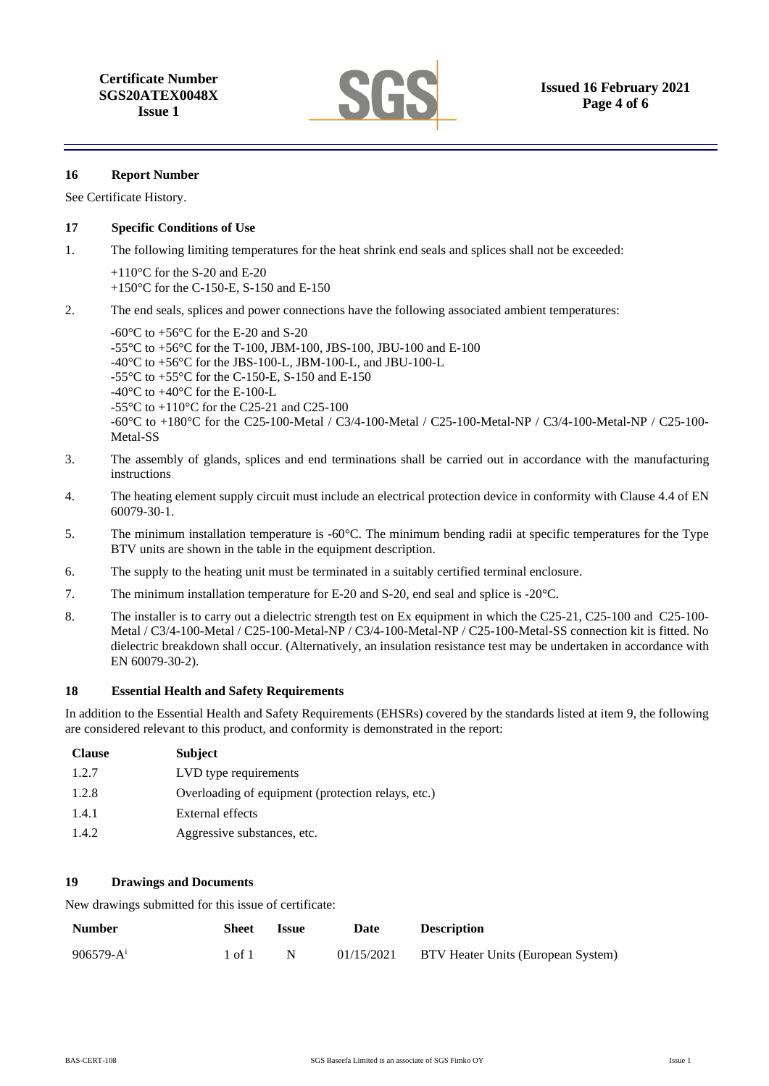

### **16 Report Number**

See Certificate History.

### **17 Specific Conditions of Use**

1. The following limiting temperatures for the heat shrink end seals and splices shall not be exceeded:

+110°C for the S-20 and E-20 +150°C for the C-150-E, S-150 and E-150

2. The end seals, splices and power connections have the following associated ambient temperatures:

-60 $\degree$ C to +56 $\degree$ C for the E-20 and S-20 -55°C to +56°C for the T-100, JBM-100, JBS-100, JBU-100 and E-100  $-40^{\circ}$ C to  $+56^{\circ}$ C for the JBS-100-L, JBM-100-L, and JBU-100-L -55 $^{\circ}$ C to +55 $^{\circ}$ C for the C-150-E, S-150 and E-150 -40 $^{\circ}$ C to +40 $^{\circ}$ C for the E-100-L -55 $^{\circ}$ C to +110 $^{\circ}$ C for the C25-21 and C25-100 -60°C to +180°C for the C25-100-Metal / C3/4-100-Metal / C25-100-Metal-NP / C3/4-100-Metal-NP / C25-100- Metal-SS

- 3. The assembly of glands, splices and end terminations shall be carried out in accordance with the manufacturing instructions
- 4. The heating element supply circuit must include an electrical protection device in conformity with Clause 4.4 of EN 60079-30-1.
- 5. The minimum installation temperature is -60°C. The minimum bending radii at specific temperatures for the Type BTV units are shown in the table in the equipment description.
- 6. The supply to the heating unit must be terminated in a suitably certified terminal enclosure.
- 7. The minimum installation temperature for E-20 and S-20, end seal and splice is -20°C.
- 8. The installer is to carry out a dielectric strength test on Ex equipment in which the C25-21, C25-100 and C25-100- Metal / C3/4-100-Metal / C25-100-Metal-NP / C3/4-100-Metal-NP / C25-100-Metal-SS connection kit is fitted. No dielectric breakdown shall occur. (Alternatively, an insulation resistance test may be undertaken in accordance with EN 60079-30-2).

### **18 Essential Health and Safety Requirements**

In addition to the Essential Health and Safety Requirements (EHSRs) covered by the standards listed at item 9, the following are considered relevant to this product, and conformity is demonstrated in the report:

| <b>Clause</b> | <b>Subject</b>                                     |
|---------------|----------------------------------------------------|
| 1.2.7         | LVD type requirements                              |
| 1.2.8         | Overloading of equipment (protection relays, etc.) |
| 1.4.1         | External effects                                   |
| 1.4.2         | Aggressive substances, etc.                        |

## **19 Drawings and Documents**

New drawings submitted for this issue of certificate:

| <b>Number</b>  | Sheet  | -Issue | Date | <b>Description</b>                            |
|----------------|--------|--------|------|-----------------------------------------------|
| $906579 - A^1$ | 1 of 1 |        |      | 01/15/2021 BTV Heater Units (European System) |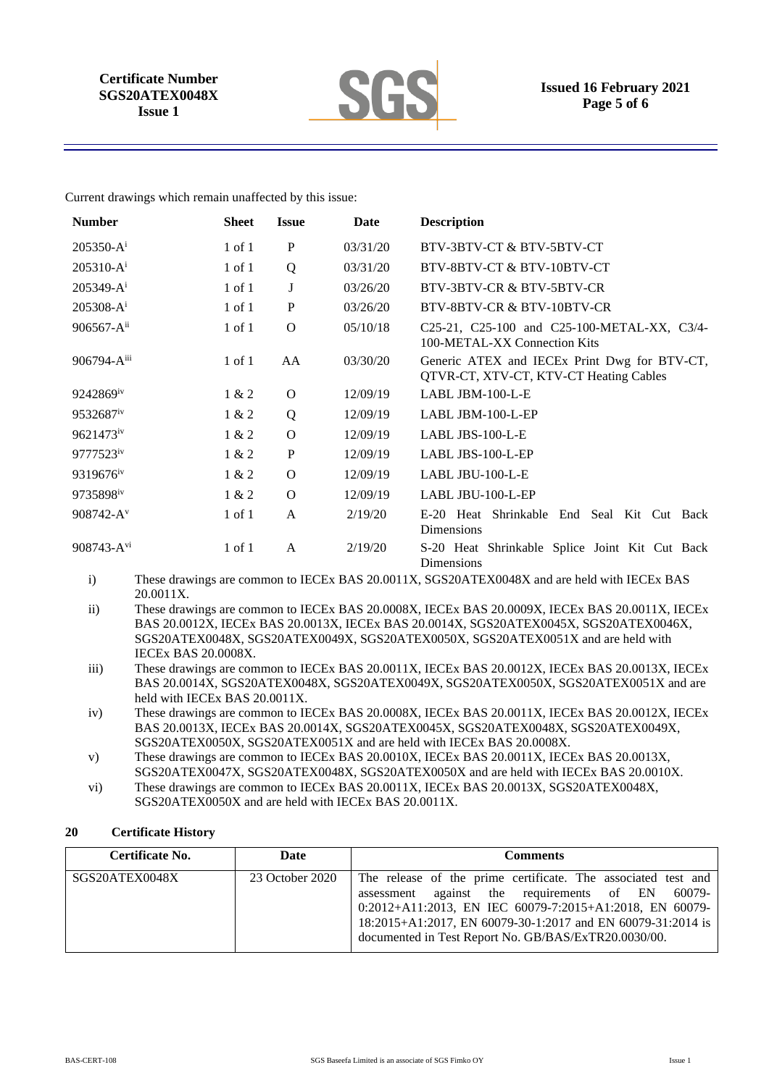

Current drawings which remain unaffected by this issue:

| <b>Number</b>         | <b>Sheet</b> | <b>Issue</b> | Date     | <b>Description</b>                                                                     |
|-----------------------|--------------|--------------|----------|----------------------------------------------------------------------------------------|
| $205350-Ai$           | 1 of 1       | P            | 03/31/20 | BTV-3BTV-CT & BTV-5BTV-CT                                                              |
| $205310-Ai$           | $1$ of $1$   | Q            | 03/31/20 | BTV-8BTV-CT & BTV-10BTV-CT                                                             |
| $205349 - A^1$        | $1$ of $1$   | J            | 03/26/20 | BTV-3BTV-CR & BTV-5BTV-CR                                                              |
| $205308-A^i$          | $1$ of $1$   | P            | 03/26/20 | BTV-8BTV-CR & BTV-10BTV-CR                                                             |
| $906567 - A^{ii}$     | $1$ of $1$   | $\Omega$     | 05/10/18 | C25-21, C25-100 and C25-100-METAL-XX, C3/4-<br>100-METAL-XX Connection Kits            |
| 906794-Aiii           | $1$ of $1$   | AA           | 03/30/20 | Generic ATEX and IECEx Print Dwg for BTV-CT,<br>QTVR-CT, XTV-CT, KTV-CT Heating Cables |
| 9242869 <sup>iv</sup> | 1 & 2        | $\Omega$     | 12/09/19 | LABL JBM-100-L-E                                                                       |
| 9532687 <sup>iv</sup> | 1 & 2        | Q            | 12/09/19 | LABL JBM-100-L-EP                                                                      |
| 9621473 <sup>iv</sup> | 1 & 2        | $\Omega$     | 12/09/19 | LABL JBS-100-L-E                                                                       |
| 9777523iv             | 1 & 2        | P            | 12/09/19 | LABL JBS-100-L-EP                                                                      |
| 9319676 <sup>iv</sup> | 1 & 2        | $\Omega$     | 12/09/19 | LABL JBU-100-L-E                                                                       |
| 9735898iv             | 1 & 2        | $\Omega$     | 12/09/19 | LABL JBU-100-L-EP                                                                      |
| $908742 - Av$         | $1$ of $1$   | A            | 2/19/20  | E-20 Heat Shrinkable End Seal Kit Cut Back<br>Dimensions                               |
| $908743 - A^{vi}$     | $1$ of $1$   | A            | 2/19/20  | S-20 Heat Shrinkable Splice Joint Kit Cut Back<br>Dimensions                           |

- i) These drawings are common to IECEx BAS 20.0011X, SGS20ATEX0048X and are held with IECEx BAS 20.0011X.
- ii) These drawings are common to IECEx BAS 20.0008X, IECEx BAS 20.0009X, IECEx BAS 20.0011X, IECEx BAS 20.0012X, IECEx BAS 20.0013X, IECEx BAS 20.0014X, SGS20ATEX0045X, SGS20ATEX0046X, SGS20ATEX0048X, SGS20ATEX0049X, SGS20ATEX0050X, SGS20ATEX0051X and are held with IECEx BAS 20.0008X.
- iii) These drawings are common to IECEx BAS 20.0011X, IECEx BAS 20.0012X, IECEx BAS 20.0013X, IECEx BAS 20.0014X, SGS20ATEX0048X, SGS20ATEX0049X, SGS20ATEX0050X, SGS20ATEX0051X and are held with IECEx BAS 20.0011X.
- iv) These drawings are common to IECEx BAS 20.0008X, IECEx BAS 20.0011X, IECEx BAS 20.0012X, IECEx BAS 20.0013X, IECEx BAS 20.0014X, SGS20ATEX0045X, SGS20ATEX0048X, SGS20ATEX0049X, SGS20ATEX0050X, SGS20ATEX0051X and are held with IECEx BAS 20.0008X.
- v) These drawings are common to IECEx BAS 20.0010X, IECEx BAS 20.0011X, IECEx BAS 20.0013X, SGS20ATEX0047X, SGS20ATEX0048X, SGS20ATEX0050X and are held with IECEx BAS 20.0010X.
- vi) These drawings are common to IECEx BAS 20.0011X, IECEx BAS 20.0013X, SGS20ATEX0048X, SGS20ATEX0050X and are held with IECEx BAS 20.0011X.

### **20 Certificate History**

| Certificate No. | Date            | <b>Comments</b>                                                                                                                                                                                                                                                                                     |
|-----------------|-----------------|-----------------------------------------------------------------------------------------------------------------------------------------------------------------------------------------------------------------------------------------------------------------------------------------------------|
| SGS20ATEX0048X  | 23 October 2020 | The release of the prime certificate. The associated test and<br>assessment against the requirements of EN 60079-<br>0:2012+A11:2013, EN IEC 60079-7:2015+A1:2018, EN 60079-<br>18:2015+A1:2017, EN 60079-30-1:2017 and EN 60079-31:2014 is<br>documented in Test Report No. GB/BAS/ExTR20.0030/00. |